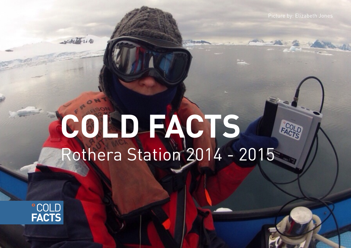## **COLD FACTS** Rothera Station 2014 - 2015



with the in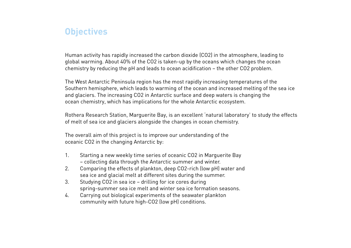## **Objectives**

Human activity has rapidly increased the carbon dioxide (CO2) in the atmosphere, leading to global warming. About 40% of the CO2 is taken-up by the oceans which changes the ocean chemistry by reducing the pH and leads to ocean acidification – the other CO2 problem.

The West Antarctic Peninsula region has the most rapidly increasing temperatures of the Southern hemisphere, which leads to warming of the ocean and increased melting of the sea ice and glaciers. The increasing CO2 in Antarctic surface and deep waters is changing the ocean chemistry, which has implications for the whole Antarctic ecosystem.

Rothera Research Station, Marguerite Bay, is an excellent 'natural laboratory' to study the effects of melt of sea ice and glaciers alongside the changes in ocean chemistry.

The overall aim of this project is to improve our understanding of the oceanic CO2 in the changing Antarctic by:

- 1. Starting a new weekly time series of oceanic CO2 in Marguerite Bay – collecting data through the Antarctic summer and winter.
- 2. Comparing the effects of plankton, deep CO2-rich (low pH) water and sea ice and glacial melt at different sites during the summer.
- 3. Studying CO2 in sea ice drilling for ice cores during spring-summer sea ice melt and winter sea ice formation seasons.
- 4. Carrying out biological experiments of the seawater plankton community with future high-CO2 (low pH) conditions.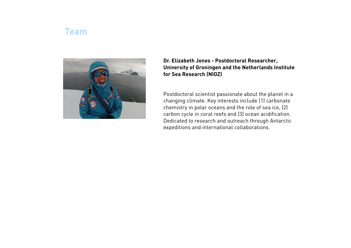## **Team**



**Dr. Elizabeth Jones - Postdoctoral Researcher, University of Groningen and the Netherlands Institute for Sea Research (NIOZ)**

Postdoctoral scientist passionate about the planet in a changing climate. Key interests include (1) carbonate chemistry in polar oceans and the role of sea ice, (2) carbon cycle in coral reefs and (3) ocean acidification. Dedicated to research and outreach through Antarctic expeditions and international collaborations.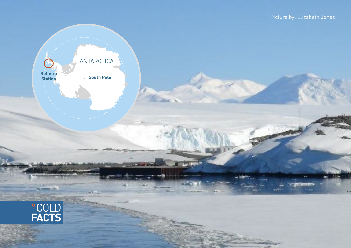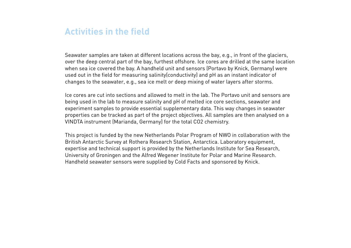## **Activities in the field**

Seawater samples are taken at different locations across the bay, e.g., in front of the glaciers, over the deep central part of the bay, furthest offshore. Ice cores are drilled at the same location when sea ice covered the bay. A handheld unit and sensors (Portavo by Knick, Germany) were used out in the field for measuring salinity(conductivity) and pH as an instant indicator of changes to the seawater, e.g., sea ice melt or deep mixing of water layers after storms.

Ice cores are cut into sections and allowed to melt in the lab. The Portavo unit and sensors are being used in the lab to measure salinity and pH of melted ice core sections, seawater and experiment samples to provide essential supplementary data. This way changes in seawater properties can be tracked as part of the project objectives. All samples are then analysed on a VINDTA instrument (Marianda, Germany) for the total CO2 chemistry.

This project is funded by the new Netherlands Polar Program of NWO in collaboration with the British Antarctic Survey at Rothera Research Station, Antarctica. Laboratory equipment, expertise and technical support is provided by the Netherlands Institute for Sea Research, University of Groningen and the Alfred Wegener Institute for Polar and Marine Research. Handheld seawater sensors were supplied by Cold Facts and sponsored by Knick.